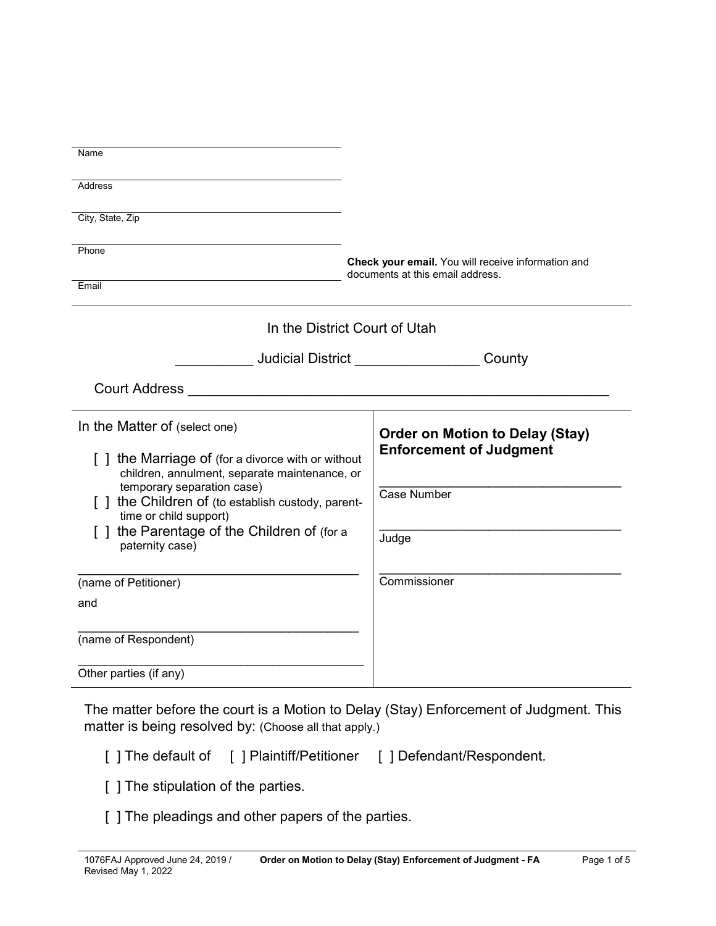| Address<br>City, State, Zip<br>Phone<br>Check your email. You will receive information and<br>documents at this email address.<br>Email<br>In the District Court of Utah<br>In the Matter of (select one)<br><b>Order on Motion to Delay (Stay)</b><br><b>Enforcement of Judgment</b><br>[] the Marriage of (for a divorce with or without<br>children, annulment, separate maintenance, or<br>temporary separation case)<br>Case Number<br>[ ] the Children of (to establish custody, parent-<br>time or child support)<br>[] the Parentage of the Children of (for a<br>Judge<br>paternity case)<br>Commissioner<br>(name of Petitioner)<br>and<br>(name of Respondent)<br>Other parties (if any) |      |  |
|-----------------------------------------------------------------------------------------------------------------------------------------------------------------------------------------------------------------------------------------------------------------------------------------------------------------------------------------------------------------------------------------------------------------------------------------------------------------------------------------------------------------------------------------------------------------------------------------------------------------------------------------------------------------------------------------------------|------|--|
|                                                                                                                                                                                                                                                                                                                                                                                                                                                                                                                                                                                                                                                                                                     | Name |  |
|                                                                                                                                                                                                                                                                                                                                                                                                                                                                                                                                                                                                                                                                                                     |      |  |
|                                                                                                                                                                                                                                                                                                                                                                                                                                                                                                                                                                                                                                                                                                     |      |  |
|                                                                                                                                                                                                                                                                                                                                                                                                                                                                                                                                                                                                                                                                                                     |      |  |
|                                                                                                                                                                                                                                                                                                                                                                                                                                                                                                                                                                                                                                                                                                     |      |  |
|                                                                                                                                                                                                                                                                                                                                                                                                                                                                                                                                                                                                                                                                                                     |      |  |
|                                                                                                                                                                                                                                                                                                                                                                                                                                                                                                                                                                                                                                                                                                     |      |  |
|                                                                                                                                                                                                                                                                                                                                                                                                                                                                                                                                                                                                                                                                                                     |      |  |
|                                                                                                                                                                                                                                                                                                                                                                                                                                                                                                                                                                                                                                                                                                     |      |  |
|                                                                                                                                                                                                                                                                                                                                                                                                                                                                                                                                                                                                                                                                                                     |      |  |
|                                                                                                                                                                                                                                                                                                                                                                                                                                                                                                                                                                                                                                                                                                     |      |  |
|                                                                                                                                                                                                                                                                                                                                                                                                                                                                                                                                                                                                                                                                                                     |      |  |
|                                                                                                                                                                                                                                                                                                                                                                                                                                                                                                                                                                                                                                                                                                     |      |  |
|                                                                                                                                                                                                                                                                                                                                                                                                                                                                                                                                                                                                                                                                                                     |      |  |
|                                                                                                                                                                                                                                                                                                                                                                                                                                                                                                                                                                                                                                                                                                     |      |  |
|                                                                                                                                                                                                                                                                                                                                                                                                                                                                                                                                                                                                                                                                                                     |      |  |
|                                                                                                                                                                                                                                                                                                                                                                                                                                                                                                                                                                                                                                                                                                     |      |  |
|                                                                                                                                                                                                                                                                                                                                                                                                                                                                                                                                                                                                                                                                                                     |      |  |
|                                                                                                                                                                                                                                                                                                                                                                                                                                                                                                                                                                                                                                                                                                     |      |  |

The matter before the court is a Motion to Delay (Stay) Enforcement of Judgment. This matter is being resolved by: (Choose all that apply.)

- [ ] The default of [ ] Plaintiff/Petitioner [ ] Defendant/Respondent.
- [ ] The stipulation of the parties.
- [ ] The pleadings and other papers of the parties.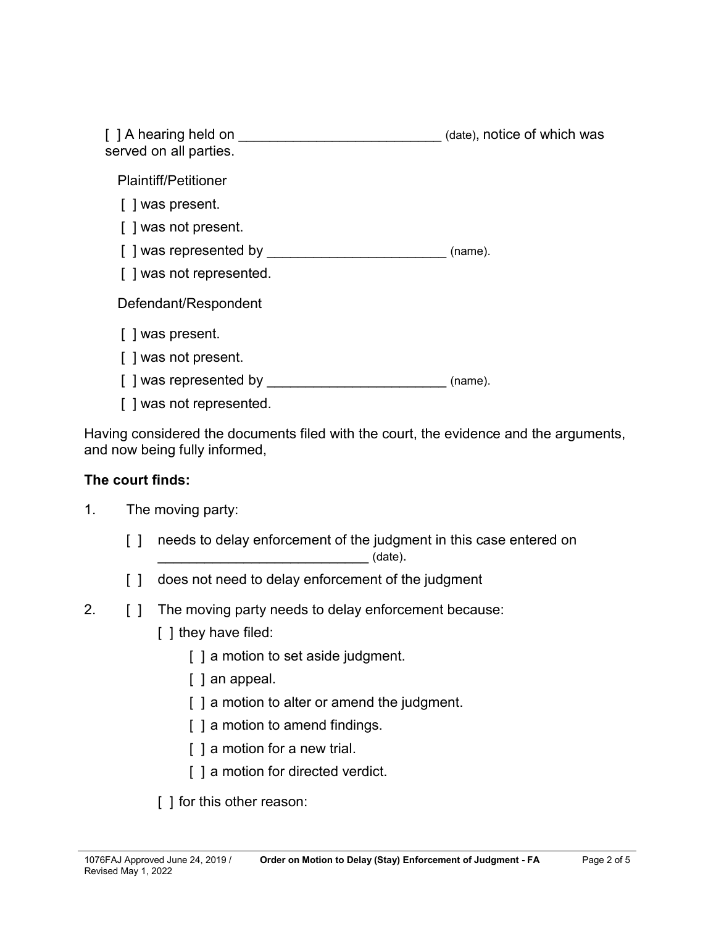| [ ] A hearing held on<br>served on all parties. | (date), notice of which was |
|-------------------------------------------------|-----------------------------|
| <b>Plaintiff/Petitioner</b>                     |                             |
| [ ] was present.                                |                             |
| [] was not present.                             |                             |
| [] was represented by                           | (name).                     |
| [ ] was not represented.                        |                             |
| Defendant/Respondent                            |                             |
| [ ] was present.                                |                             |
| [ ] was not present.                            |                             |
| [ ] was represented by                          | (name).                     |
| ] was not represented.                          |                             |

Having considered the documents filed with the court, the evidence and the arguments, and now being fully informed,

## **The court finds:**

- 1. The moving party:
	- [] needs to delay enforcement of the judgment in this case entered on \_\_\_\_\_\_\_\_\_\_\_\_\_\_\_\_\_\_\_\_\_\_\_\_\_\_\_ (date).
	- [] does not need to delay enforcement of the judgment
- 2. [ ] The moving party needs to delay enforcement because:
	- [ ] they have filed:
		- [ ] a motion to set aside judgment.
		- [ ] an appeal.
		- [] a motion to alter or amend the judgment.
		- [ ] a motion to amend findings.
		- [] a motion for a new trial.
		- [] a motion for directed verdict.
	- [ ] for this other reason: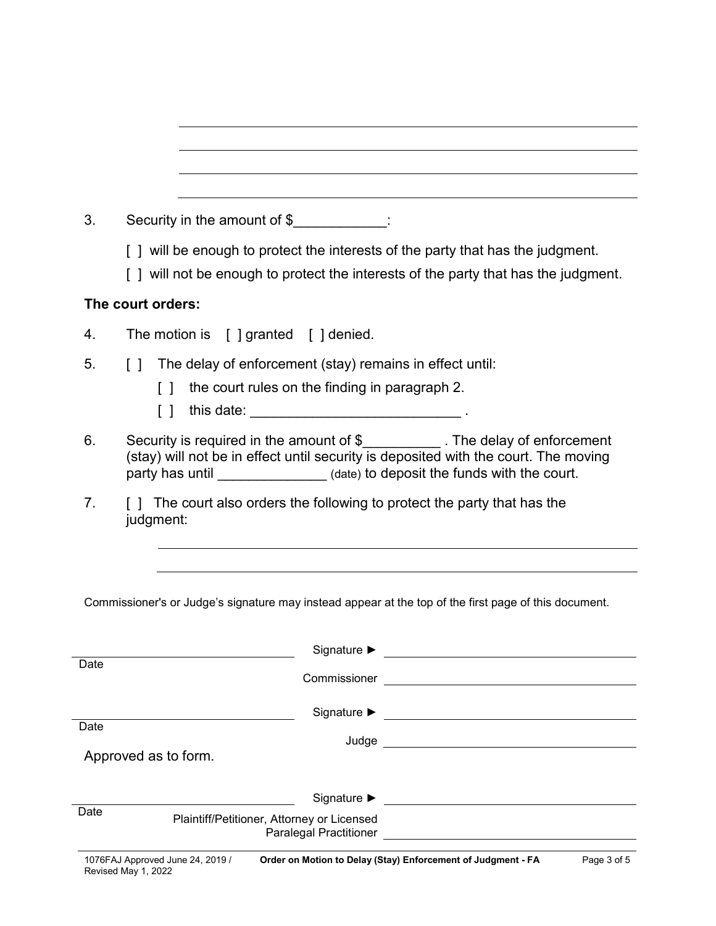| 3.   | Security in the amount of \$                                                                                                                                                                                                                       |  |  |
|------|----------------------------------------------------------------------------------------------------------------------------------------------------------------------------------------------------------------------------------------------------|--|--|
|      | [] will be enough to protect the interests of the party that has the judgment.                                                                                                                                                                     |  |  |
|      | [] will not be enough to protect the interests of the party that has the judgment.                                                                                                                                                                 |  |  |
|      | The court orders:                                                                                                                                                                                                                                  |  |  |
| 4.   | The motion is $[$ ] granted $[$ ] denied.                                                                                                                                                                                                          |  |  |
| 5.   | The delay of enforcement (stay) remains in effect until:<br>$\Box$                                                                                                                                                                                 |  |  |
|      | the court rules on the finding in paragraph 2.<br>$\Box$                                                                                                                                                                                           |  |  |
|      | Ιl                                                                                                                                                                                                                                                 |  |  |
| 6.   | Security is required in the amount of \$___________. The delay of enforcement<br>(stay) will not be in effect until security is deposited with the court. The moving<br>party has until _______________(date) to deposit the funds with the court. |  |  |
| 7.   | [] The court also orders the following to protect the party that has the<br>judgment:                                                                                                                                                              |  |  |
|      |                                                                                                                                                                                                                                                    |  |  |
|      | Commissioner's or Judge's signature may instead appear at the top of the first page of this document.                                                                                                                                              |  |  |
|      | Signature $\blacktriangleright$                                                                                                                                                                                                                    |  |  |
| Date |                                                                                                                                                                                                                                                    |  |  |
|      |                                                                                                                                                                                                                                                    |  |  |
| Date |                                                                                                                                                                                                                                                    |  |  |
|      | Approved as to form.                                                                                                                                                                                                                               |  |  |
|      | Signature $\blacktriangleright$                                                                                                                                                                                                                    |  |  |
| Date | Plaintiff/Petitioner, Attorney or Licensed                                                                                                                                                                                                         |  |  |
|      | Paralegal Practitioner <u>[ ________________________________</u>                                                                                                                                                                                   |  |  |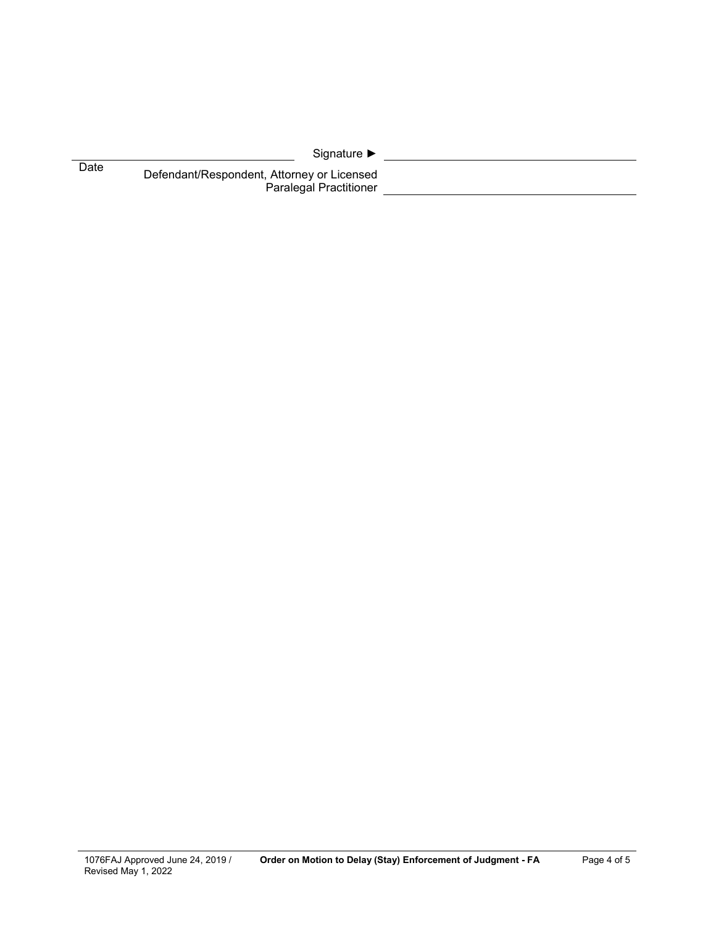|      | Signature $\blacktriangleright$                                             |  |
|------|-----------------------------------------------------------------------------|--|
| Date | Defendant/Respondent, Attorney or Licensed<br><b>Paralegal Practitioner</b> |  |